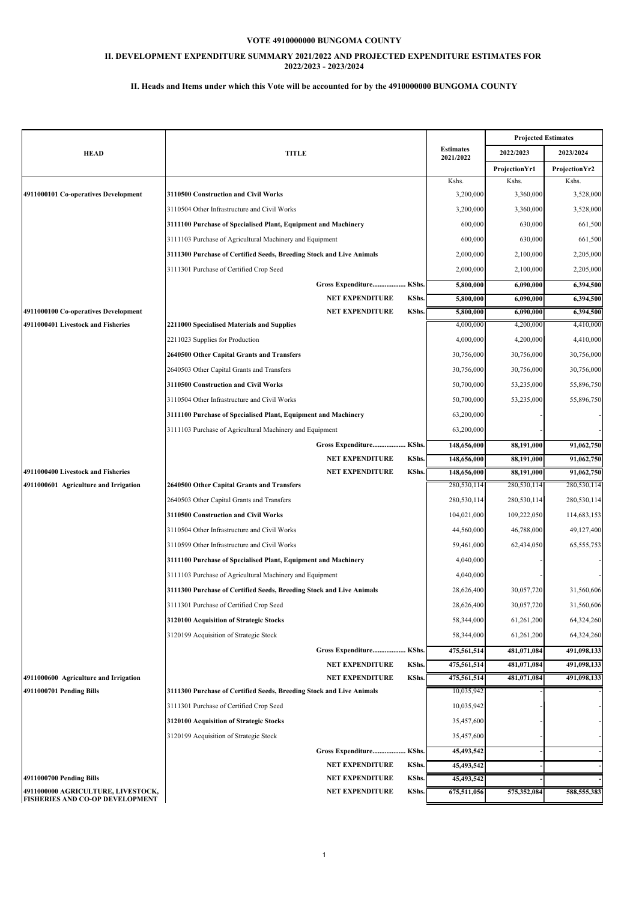### **II. DEVELOPMENT EXPENDITURE SUMMARY 2021/2022 AND PROJECTED EXPENDITURE ESTIMATES FOR 2022/2023 - 2023/2024**

|                                                                |                                                                      |                           | <b>Projected Estimates</b> |                |
|----------------------------------------------------------------|----------------------------------------------------------------------|---------------------------|----------------------------|----------------|
| <b>HEAD</b>                                                    | <b>TITLE</b>                                                         |                           | 2022/2023                  | 2023/2024      |
|                                                                |                                                                      | 2021/2022                 | <b>ProjectionYr1</b>       | Projection Yr2 |
|                                                                |                                                                      | Kshs.                     | Kshs.                      | Kshs.          |
| 4911000101 Co-operatives Development                           | 3110500 Construction and Civil Works                                 | 3,200,000                 | 3,360,000                  | 3,528,000      |
|                                                                | 3110504 Other Infrastructure and Civil Works                         | 3,200,000                 | 3,360,000                  | 3,528,000      |
|                                                                | 3111100 Purchase of Specialised Plant, Equipment and Machinery       | 600,000                   | 630,000                    | 661,500        |
|                                                                | 3111103 Purchase of Agricultural Machinery and Equipment             | 600,000                   | 630,000                    | 661,500        |
|                                                                | 3111300 Purchase of Certified Seeds, Breeding Stock and Live Animals | 2,000,000                 | 2,100,000                  | 2,205,000      |
|                                                                | 3111301 Purchase of Certified Crop Seed                              | 2,000,000                 | 2,100,000                  | 2,205,000      |
|                                                                | Gross Expenditure KShs.                                              | 5,800,000                 | 6,090,000                  | 6,394,500      |
|                                                                | <b>NET EXPENDITURE</b><br><b>KShs.</b>                               | 5,800,000                 | 6,090,000                  | 6,394,500      |
| 4911000100 Co-operatives Development                           | KShs.<br><b>NET EXPENDITURE</b>                                      | 5,800,000                 | 6,090,000                  | 6,394,500      |
| 4911000401 Livestock and Fisheries                             | 2211000 Specialised Materials and Supplies                           | 4,000,000                 | 4,200,000                  | 4,410,000      |
|                                                                | 2211023 Supplies for Production                                      | 4,000,000                 | 4,200,000                  | 4,410,000      |
|                                                                | 2640500 Other Capital Grants and Transfers                           | 30,756,000                | 30,756,000                 | 30,756,000     |
|                                                                | 2640503 Other Capital Grants and Transfers                           | 30,756,000                | 30,756,000                 | 30,756,000     |
|                                                                | 3110500 Construction and Civil Works                                 | 50,700,000                | 53,235,000                 | 55,896,750     |
|                                                                | 3110504 Other Infrastructure and Civil Works                         | 50,700,000                | 53,235,000                 | 55,896,750     |
|                                                                | 3111100 Purchase of Specialised Plant, Equipment and Machinery       | 63,200,000                |                            |                |
|                                                                | 3111103 Purchase of Agricultural Machinery and Equipment             | 63,200,000                |                            |                |
|                                                                | Gross Expenditure KShs.                                              | 148,656,000               | 88,191,000                 | 91,062,750     |
|                                                                | <b>NET EXPENDITURE</b><br>KShs.                                      | 148,656,000               | 88,191,000                 | 91,062,750     |
| 4911000400 Livestock and Fisheries                             | KShs.<br><b>NET EXPENDITURE</b>                                      | 148,656,000               | 88,191,000                 | 91,062,750     |
| 4911000601 Agriculture and Irrigation                          | 2640500 Other Capital Grants and Transfers                           | 280,530,114               | 280,530,114                | 280,530,114    |
|                                                                | 2640503 Other Capital Grants and Transfers                           | 280,530,114               | 280,530,114                | 280,530,114    |
|                                                                | 3110500 Construction and Civil Works                                 | 104,021,000               | 109,222,050                | 114,683,153    |
|                                                                | 3110504 Other Infrastructure and Civil Works                         | 44,560,000                | 46,788,000                 | 49,127,400     |
|                                                                | 3110599 Other Infrastructure and Civil Works                         | 59,461,000                | 62,434,050                 | 65, 555, 753   |
|                                                                | 3111100 Purchase of Specialised Plant, Equipment and Machinery       | 4,040,000                 |                            |                |
|                                                                | 3111103 Purchase of Agricultural Machinery and Equipment             | 4,040,000                 |                            |                |
|                                                                | 3111300 Purchase of Certified Seeds, Breeding Stock and Live Animals | 28,626,400                | 30,057,720                 | 31,560,606     |
|                                                                | 3111301 Purchase of Certified Crop Seed                              | 28,626,400                | 30,057,720                 | 31,560,606     |
|                                                                | 3120100 Acquisition of Strategic Stocks                              | 58,344,000                | 61,261,200                 | 64,324,260     |
|                                                                | 3120199 Acquisition of Strategic Stock                               | 58,344,000                | 61,261,200                 | 64,324,260     |
|                                                                | Gross Expenditure KShs.                                              | 475,561,514               | 481,071,084                | 491,098,133    |
|                                                                | KShs.<br><b>NET EXPENDITURE</b>                                      | 475,561,514               | 481,071,084                | 491,098,133    |
| 4911000600 Agriculture and Irrigation                          | <b>NET EXPENDITURE</b><br>KShs.                                      | 475,561,514               | 481,071,084                | 491,098,133    |
| 4911000701 Pending Bills                                       | 3111300 Purchase of Certified Seeds, Breeding Stock and Live Animals | 10,035,942                |                            |                |
|                                                                | 3111301 Purchase of Certified Crop Seed                              | 10,035,942                |                            |                |
|                                                                | 3120100 Acquisition of Strategic Stocks                              | 35,457,600                |                            |                |
|                                                                | 3120199 Acquisition of Strategic Stock                               | 35,457,600                |                            |                |
|                                                                | Gross Expenditure KShs.                                              | 45,493,542                |                            |                |
|                                                                | <b>NET EXPENDITURE</b><br><b>KShs.</b>                               | 45,493,542                |                            |                |
| 4911000700 Pending Bills<br>4911000000 AGRICULTURE, LIVESTOCK, | <b>NET EXPENDITURE</b><br>KShs.<br>KShs.<br><b>NET EXPENDITURE</b>   | 45,493,542<br>675,511,056 | 575,352,084                | 588,555,383    |
| FISHERIES AND CO-OP DEVELOPMENT                                |                                                                      |                           |                            |                |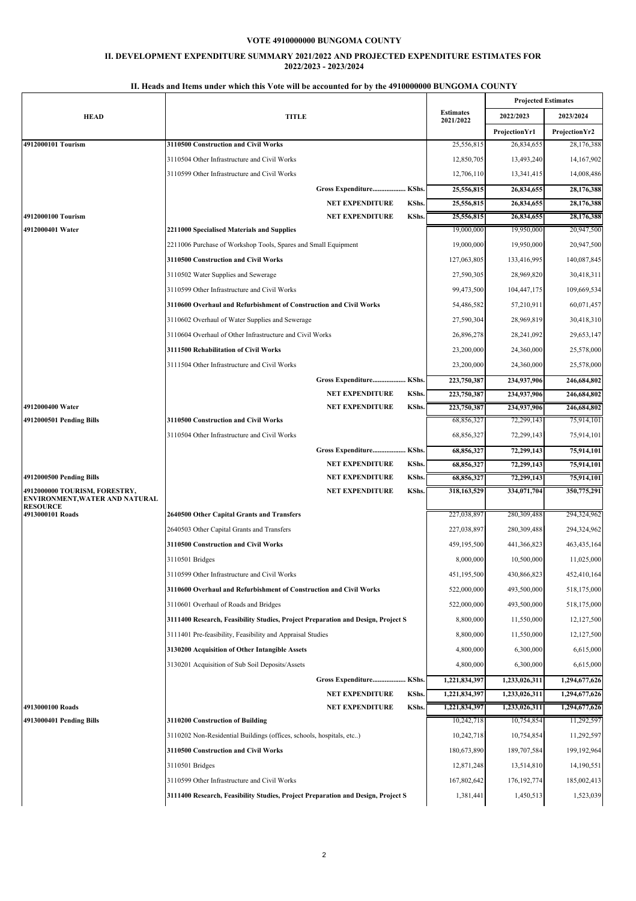### **II. DEVELOPMENT EXPENDITURE SUMMARY 2021/2022 AND PROJECTED EXPENDITURE ESTIMATES FOR 2022/2023 - 2023/2024**

| 2022/2023<br>Projection Yr1<br>25,556,815<br>26,834,655<br>12,850,705<br>13,493,240<br>13,341,415<br>12,706,110<br>25,556,815<br>26,834,655<br>25,556,815<br>26,834,655<br>25,556,815<br>26,834,655<br>19,000,000<br>19,950,000<br>19,000,000<br>19,950,000<br>127,063,805<br>133,416,995<br>28,969,820<br>27,590,305<br>99,473,500<br>104,447,175<br>54,486,582<br>57,210,911<br>27,590,304<br>28,969,819 | <b>Projected Estimates</b><br>2023/2024<br>Projection Yr2<br>28,176,388<br>14,167,902<br>14,008,486<br>28,176,388<br>28,176,388<br>28,176,388<br>20,947,500<br>20,947,500<br>140,087,845<br>30,418,311<br>109,669,534<br>60,071,457 |
|------------------------------------------------------------------------------------------------------------------------------------------------------------------------------------------------------------------------------------------------------------------------------------------------------------------------------------------------------------------------------------------------------------|-------------------------------------------------------------------------------------------------------------------------------------------------------------------------------------------------------------------------------------|
|                                                                                                                                                                                                                                                                                                                                                                                                            |                                                                                                                                                                                                                                     |
|                                                                                                                                                                                                                                                                                                                                                                                                            |                                                                                                                                                                                                                                     |
|                                                                                                                                                                                                                                                                                                                                                                                                            |                                                                                                                                                                                                                                     |
|                                                                                                                                                                                                                                                                                                                                                                                                            |                                                                                                                                                                                                                                     |
|                                                                                                                                                                                                                                                                                                                                                                                                            |                                                                                                                                                                                                                                     |
|                                                                                                                                                                                                                                                                                                                                                                                                            |                                                                                                                                                                                                                                     |
|                                                                                                                                                                                                                                                                                                                                                                                                            |                                                                                                                                                                                                                                     |
|                                                                                                                                                                                                                                                                                                                                                                                                            |                                                                                                                                                                                                                                     |
|                                                                                                                                                                                                                                                                                                                                                                                                            |                                                                                                                                                                                                                                     |
|                                                                                                                                                                                                                                                                                                                                                                                                            |                                                                                                                                                                                                                                     |
|                                                                                                                                                                                                                                                                                                                                                                                                            |                                                                                                                                                                                                                                     |
|                                                                                                                                                                                                                                                                                                                                                                                                            |                                                                                                                                                                                                                                     |
|                                                                                                                                                                                                                                                                                                                                                                                                            |                                                                                                                                                                                                                                     |
|                                                                                                                                                                                                                                                                                                                                                                                                            |                                                                                                                                                                                                                                     |
|                                                                                                                                                                                                                                                                                                                                                                                                            |                                                                                                                                                                                                                                     |
|                                                                                                                                                                                                                                                                                                                                                                                                            | 30,418,310                                                                                                                                                                                                                          |
| 26,896,278<br>28,241,092                                                                                                                                                                                                                                                                                                                                                                                   | 29,653,147                                                                                                                                                                                                                          |
| 23,200,000<br>24,360,000                                                                                                                                                                                                                                                                                                                                                                                   | 25,578,000                                                                                                                                                                                                                          |
| 23,200,000<br>24,360,000                                                                                                                                                                                                                                                                                                                                                                                   | 25,578,000                                                                                                                                                                                                                          |
| 223,750,387<br>234,937,906                                                                                                                                                                                                                                                                                                                                                                                 | 246,684,802                                                                                                                                                                                                                         |
| 234,937,906<br>223,750,387                                                                                                                                                                                                                                                                                                                                                                                 | 246,684,802                                                                                                                                                                                                                         |
| 223,750,387<br>234,937,906                                                                                                                                                                                                                                                                                                                                                                                 | 246,684,802                                                                                                                                                                                                                         |
| 72,299,143<br>68,856,327                                                                                                                                                                                                                                                                                                                                                                                   | 75,914,101                                                                                                                                                                                                                          |
| 68,856,327<br>72,299,143                                                                                                                                                                                                                                                                                                                                                                                   | 75,914,101                                                                                                                                                                                                                          |
| 68,856,327<br>72,299,143                                                                                                                                                                                                                                                                                                                                                                                   | 75,914,101                                                                                                                                                                                                                          |
| 68,856,327<br>72,299,143                                                                                                                                                                                                                                                                                                                                                                                   | 75,914,101                                                                                                                                                                                                                          |
| 68,856,327<br>72,299,143                                                                                                                                                                                                                                                                                                                                                                                   | 75,914,101                                                                                                                                                                                                                          |
| 318,163,529<br>334,071,704                                                                                                                                                                                                                                                                                                                                                                                 | 350,775,291                                                                                                                                                                                                                         |
| 227,038,897<br>280,309,488                                                                                                                                                                                                                                                                                                                                                                                 | 294,324,962                                                                                                                                                                                                                         |
| 227,038,897<br>280,309,488                                                                                                                                                                                                                                                                                                                                                                                 | 294,324,962                                                                                                                                                                                                                         |
| 459,195,500<br>441,366,823                                                                                                                                                                                                                                                                                                                                                                                 | 463, 435, 164                                                                                                                                                                                                                       |
| 8,000,000<br>10,500,000                                                                                                                                                                                                                                                                                                                                                                                    | 11,025,000                                                                                                                                                                                                                          |
| 451,195,500<br>430,866,823                                                                                                                                                                                                                                                                                                                                                                                 | 452,410,164                                                                                                                                                                                                                         |
| 493,500,000                                                                                                                                                                                                                                                                                                                                                                                                | 518,175,000                                                                                                                                                                                                                         |
| 493,500,000                                                                                                                                                                                                                                                                                                                                                                                                | 518,175,000                                                                                                                                                                                                                         |
| 11,550,000                                                                                                                                                                                                                                                                                                                                                                                                 | 12,127,500                                                                                                                                                                                                                          |
| 11,550,000                                                                                                                                                                                                                                                                                                                                                                                                 | 12,127,500                                                                                                                                                                                                                          |
| 6,300,000                                                                                                                                                                                                                                                                                                                                                                                                  | 6,615,000                                                                                                                                                                                                                           |
| 6,300,000                                                                                                                                                                                                                                                                                                                                                                                                  | 6,615,000                                                                                                                                                                                                                           |
| 1,233,026,311                                                                                                                                                                                                                                                                                                                                                                                              | 1,294,677,626                                                                                                                                                                                                                       |
| 1,233,026,311                                                                                                                                                                                                                                                                                                                                                                                              | 1,294,677,626                                                                                                                                                                                                                       |
| 1,233,026,311                                                                                                                                                                                                                                                                                                                                                                                              | 1,294,677,626                                                                                                                                                                                                                       |
| 10,754,854                                                                                                                                                                                                                                                                                                                                                                                                 | 11,292,597                                                                                                                                                                                                                          |
| 10,754,854                                                                                                                                                                                                                                                                                                                                                                                                 | 11,292,597                                                                                                                                                                                                                          |
| 189,707,584                                                                                                                                                                                                                                                                                                                                                                                                | 199, 192, 964                                                                                                                                                                                                                       |
| 13,514,810                                                                                                                                                                                                                                                                                                                                                                                                 | 14,190,551                                                                                                                                                                                                                          |
| 176, 192, 774                                                                                                                                                                                                                                                                                                                                                                                              | 185,002,413                                                                                                                                                                                                                         |
| 1,450,513                                                                                                                                                                                                                                                                                                                                                                                                  | 1,523,039                                                                                                                                                                                                                           |
|                                                                                                                                                                                                                                                                                                                                                                                                            | 522,000,000<br>522,000,000<br>8,800,000<br>8,800,000<br>4,800,000<br>4,800,000<br>1,221,834,397<br>1,221,834,397<br>1,221,834,397<br>10,242,718<br>10,242,718<br>180,673,890<br>12,871,248<br>167,802,642<br>1,381,441              |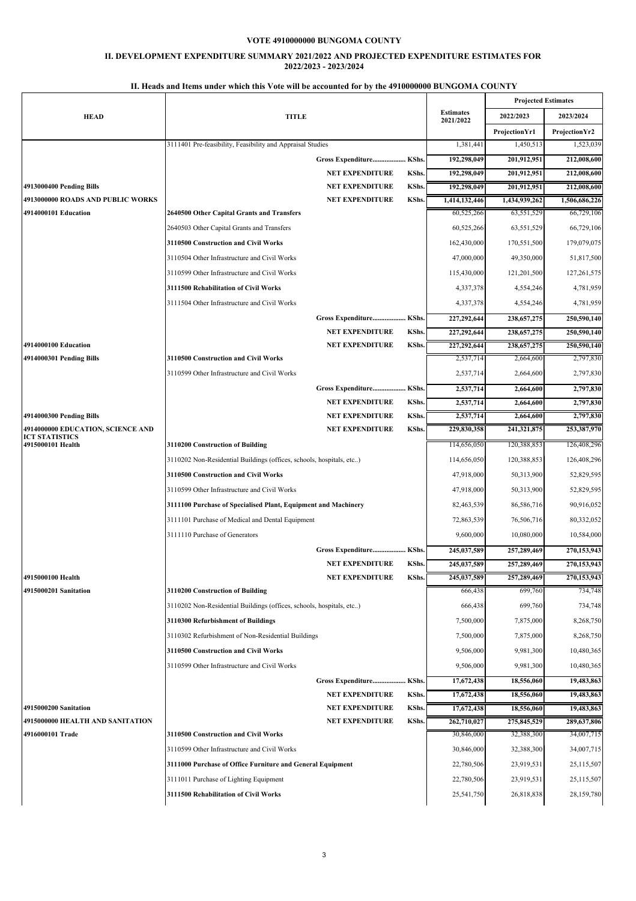### **II. DEVELOPMENT EXPENDITURE SUMMARY 2021/2022 AND PROJECTED EXPENDITURE ESTIMATES FOR 2022/2023 - 2023/2024**

# **HEAD TITLE Estimates 2021/2022 Projected Estimates 2022/2023 2023/2024 ProjectionYr1 ProjectionYr2** 3111401 Pre-feasibility, Feasibility and Appraisal Studies 1,381,441 1,450,513 1,523,039  **Gross Expenditure................... KShs. 192,298,049 201,912,951 212,008,600 NET EXPENDITURE KShs. 192,298,049 201,912,951 212,008,600 4913000400 Pending Bills NET EXPENDITURE KShs. 192,298,049 201,912,951 212,008,600 4913000000 ROADS AND PUBLIC WORKS NET EXPENDITURE KShs. 1,414,132,446 1,434,939,262 1,506,686,226 4914000101 Education 2640500 Other Capital Grants and Transfers** 60,525,266 63,551,529 66,729,106 2640503 Other Capital Grants and Transfers 60,525,266 63,551,529 66,729,106 **3110500 Construction and Civil Works** 162,430,000 170,551,500 179,079,075 3110504 Other Infrastructure and Civil Works 47,000,000 49,350,000 51,817,500 3110599 Other Infrastructure and Civil Works 115,430,000 121,201,500 127,261,575 **3111500 Rehabilitation of Civil Works** 4,337,378 4,554,246 4,781,959 3111504 Other Infrastructure and Civil Works 4,337,378 4,554,246 4,781,959  **Gross Expenditure................... KShs. 227,292,644 238,657,275 250,590,140 NET EXPENDITURE KShs. 227,292,644 238,657,275 250,590,140 4914000100 Education NET EXPENDITURE KShs. 227,292,644 238,657,275 250,590,140 4914000301 Pending Bills 3110500 Construction and Civil Works** 2,537,714 2,664,600 2,797,830 3110599 Other Infrastructure and Civil Works 2,537,714 2,664,600 2,797,830  **Gross Expenditure................... KShs. 2,537,714 2,664,600 2,797,830 NET EXPENDITURE KShs. 2,537,714 2,664,600 2,797,830 4914000300 Pending Bills NET EXPENDITURE KShs. 2,537,714 2,664,600 2,797,830 4914000000 EDUCATION, SCIENCE AND ICT STATISTICS NET EXPENDITURE KShs. 229,830,358 241,321,875 253,387,970 4910200 Construction of Building** 114,656,050 120,388,853 126,408,296 3110202 Non-Residential Buildings (offices, schools, hospitals, etc..) 114,656,050 120,388,853 126,408,296 **3110500 Construction and Civil Works 10.000 50.31000 50.313,900** 52,829,595 3110599 Other Infrastructure and Civil Works 47,918,000 50,313,900 52,829,595 **3111100 Purchase of Specialised Plant, Equipment and Machinery** 82,463,539 86,586,716 90,916,052 3111101 Purchase of Medical and Dental Equipment 72,863,539 76,506,716 80,332,052 3111110 Purchase of Generators 2000 10,584,000 10,584,000 10,584,000 10,584,000 10,584,000 10,584,000 10,584,000 10,584,000 10,584,000 10,584,000 10,584,000 10,584,000 10,584,000 10,584,000 10,584,000 10,584,000 10,584,000  **Gross Expenditure................... KShs. 245,037,589 257,289,469 270,153,943 NET EXPENDITURE KShs. 245,037,589 257,289,469 270,153,943 4915000100 Health NET EXPENDITURE KShs. 245,037,589 257,289,469 270,153,943 4915000201 Sanitation 3110200 Construction of Building** 666,438 699,760 734,748 3110202 Non-Residential Buildings (offices, schools, hospitals, etc..) 666,438 699,760 734,748 **3110300 Refurbishment of Buildings 6.250 COLLEGE 2006 7500,000** 7,875,000 7,875,000 8,268,750 3110302 Refurbishment of Non-Residential Buildings 7,500,000 7,875,000 8,268,750 **3110500 Construction and Civil Works 10.480,365 9,506,000** 9,981,300 **9,981,300** 10,480,365 3110599 Other Infrastructure and Civil Works 8,500,000 9,981,300 9,981,300 10,480,365  **Gross Expenditure................... KShs. 17,672,438 18,556,060 19,483,863 NET EXPENDITURE KShs. 17,672,438 18,556,060 19,483,863 4915000200 Sanitation NET EXPENDITURE KShs. 17,672,438 18,556,060 19,483,863 4915000000 HEALTH AND SANITATION NET EXPENDITURE KShs. 262,710,027 275,845,529 289,637,806 4916000101 Trade 3110500 Construction and Civil Works** 30,846,000 32,388,300 34,007,715 3110599 Other Infrastructure and Civil Works 30,846,000 32,388,300 34,007,715 **3111000 Purchase of Office Furniture and General Equipment** 22,780,506 23,919,531 25,115,507 3111011 Purchase of Lighting Equipment 22,780,506 23,919,531 25,115,507 **3111500 Rehabilitation of Civil Works** 25,541,750 26,818,838 28,159,780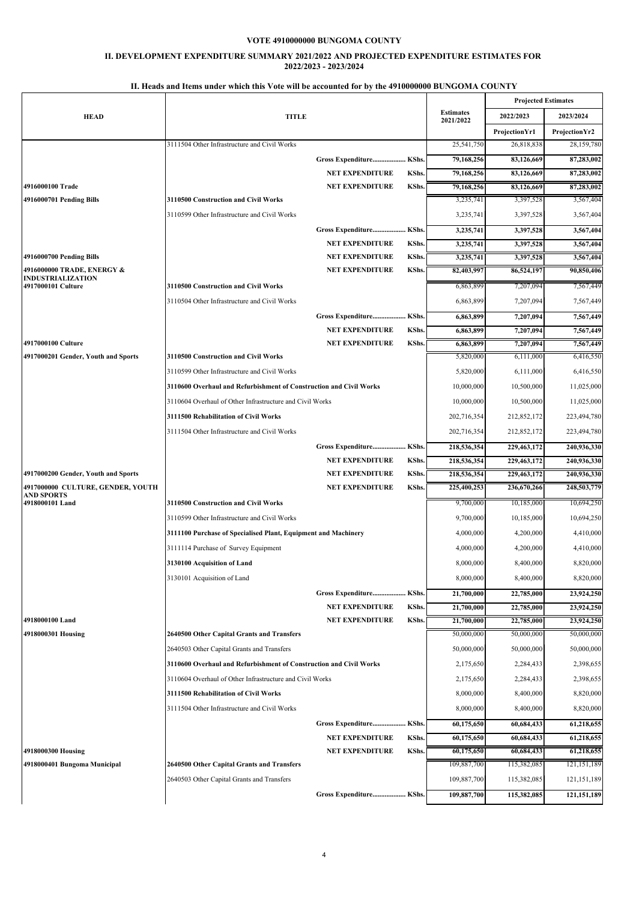### **II. DEVELOPMENT EXPENDITURE SUMMARY 2021/2022 AND PROJECTED EXPENDITURE ESTIMATES FOR 2022/2023 - 2023/2024**

|                                                        | 11. Heads and Items under which this vote will be accounted for by the 4910000000 BUNGOMA COUNTY |                         |             |                               |                            |                          |
|--------------------------------------------------------|--------------------------------------------------------------------------------------------------|-------------------------|-------------|-------------------------------|----------------------------|--------------------------|
|                                                        |                                                                                                  |                         |             |                               | <b>Projected Estimates</b> |                          |
| <b>HEAD</b>                                            | <b>TITLE</b>                                                                                     |                         |             | <b>Estimates</b><br>2021/2022 | 2022/2023                  | 2023/2024                |
|                                                        |                                                                                                  |                         |             |                               | Projection Yr1             | Projection Yr2           |
|                                                        | 3111504 Other Infrastructure and Civil Works                                                     |                         |             | 25,541,750                    | 26,818,838                 | 28,159,780               |
|                                                        |                                                                                                  | Gross Expenditure KShs. |             | 79,168,256                    | 83,126,669                 | 87,283,002               |
|                                                        |                                                                                                  | <b>NET EXPENDITURE</b>  | KShs.       | 79,168,256                    | 83,126,669                 | 87,283,002               |
| 4916000100 Trade                                       |                                                                                                  | <b>NET EXPENDITURE</b>  | KShs.       | 79,168,256                    | 83,126,669                 | 87,283,002               |
| 4916000701 Pending Bills                               | 3110500 Construction and Civil Works                                                             |                         |             | 3,235,741                     | 3,397,528                  | 3,567,404                |
|                                                        | 3110599 Other Infrastructure and Civil Works                                                     |                         |             | 3,235,741                     | 3,397,528                  | 3,567,404                |
|                                                        |                                                                                                  | Gross Expenditure KShs. |             | 3,235,741                     | 3,397,528                  | 3,567,404                |
|                                                        |                                                                                                  | <b>NET EXPENDITURE</b>  | KShs.       | 3,235,741                     | 3,397,528                  | 3,567,404                |
| 4916000700 Pending Bills                               |                                                                                                  | <b>NET EXPENDITURE</b>  | KShs.       | 3,235,741                     | 3,397,528                  | 3,567,404                |
| 4916000000 TRADE, ENERGY &<br><b>INDUSTRIALIZATION</b> |                                                                                                  | <b>NET EXPENDITURE</b>  | KShs.       | 82,403,997                    | 86,524,197                 | 90,850,406               |
| 4917000101 Culture                                     | 3110500 Construction and Civil Works                                                             |                         |             | 6,863,899                     | 7,207,094                  | 7,567,449                |
|                                                        | 3110504 Other Infrastructure and Civil Works                                                     |                         |             | 6,863,899                     | 7,207,094                  | 7,567,449                |
|                                                        |                                                                                                  | Gross Expenditure KShs. |             | 6,863,899                     | 7,207,094                  | 7,567,449                |
|                                                        |                                                                                                  | <b>NET EXPENDITURE</b>  | KShs.       | 6,863,899                     | 7,207,094                  | 7,567,449                |
| 4917000100 Culture                                     |                                                                                                  | <b>NET EXPENDITURE</b>  | KShs.       | 6,863,899                     | 7,207,094                  | 7,567,449                |
| 4917000201 Gender, Youth and Sports                    | 3110500 Construction and Civil Works                                                             |                         |             | 5,820,000                     | 6,111,000                  | 6,416,550                |
|                                                        | 3110599 Other Infrastructure and Civil Works                                                     |                         |             | 5,820,000                     | 6,111,000                  | 6,416,550                |
|                                                        | 3110600 Overhaul and Refurbishment of Construction and Civil Works                               |                         |             | 10,000,000                    | 10,500,000                 | 11,025,000               |
|                                                        | 3110604 Overhaul of Other Infrastructure and Civil Works                                         |                         |             | 10,000,000                    | 10,500,000                 | 11,025,000               |
|                                                        | 3111500 Rehabilitation of Civil Works                                                            |                         |             | 202,716,354                   | 212,852,172                | 223,494,780              |
|                                                        | 3111504 Other Infrastructure and Civil Works                                                     |                         |             | 202,716,354                   | 212,852,172                | 223,494,780              |
|                                                        |                                                                                                  | Gross Expenditure KShs. |             | 218,536,354                   | 229,463,172                | 240,936,330              |
|                                                        |                                                                                                  | <b>NET EXPENDITURE</b>  | KShs.       | 218,536,354                   | 229,463,172                | 240,936,330              |
| 4917000200 Gender, Youth and Sports                    |                                                                                                  | <b>NET EXPENDITURE</b>  | KShs.       | 218,536,354                   | 229,463,172                | 240,936,330              |
| 4917000000 CULTURE, GENDER, YOUTH                      |                                                                                                  | <b>NET EXPENDITURE</b>  | KShs.       | 225,400,253                   | 236,670,266                | 248,503,779              |
| AND SPORTS<br>4918000101 Land                          | 3110500 Construction and Civil Works                                                             |                         |             | 9,700,000                     | 10,185,000                 | 10,694,250               |
|                                                        | 3110599 Other Infrastructure and Civil Works                                                     |                         |             | 9,700,000                     | 10,185,000                 | 10,694,250               |
|                                                        | 3111100 Purchase of Specialised Plant, Equipment and Machinery                                   |                         |             | 4,000,000                     | 4,200,000                  | 4,410,000                |
|                                                        | 3111114 Purchase of Survey Equipment                                                             |                         |             | 4,000,000                     | 4,200,000                  | 4,410,000                |
|                                                        |                                                                                                  |                         |             | 8,000,000                     |                            | 8.820.000                |
|                                                        | 3130100 Acquisition of Land                                                                      |                         |             |                               | 8,400,000                  |                          |
|                                                        | 3130101 Acquisition of Land                                                                      |                         |             | 8,000,000                     | 8,400,000                  | 8,820,000                |
|                                                        |                                                                                                  | Gross Expenditure KShs. |             | 21,700,000                    | 22,785,000                 | 23,924,250               |
|                                                        |                                                                                                  | <b>NET EXPENDITURE</b>  | <b>KShs</b> | 21,700,000                    | 22,785,000                 | 23.924.250               |
| 4918000100 Land                                        |                                                                                                  | <b>NET EXPENDITURE</b>  | <b>KShs</b> | 21,700,000                    | 22,785,000                 | 23,924,250<br>50,000,000 |
| 4918000301 Housing                                     | 2640500 Other Capital Grants and Transfers                                                       |                         |             | 50,000,000                    | 50,000,000                 |                          |
|                                                        | 2640503 Other Capital Grants and Transfers                                                       |                         |             | 50,000,000                    | 50,000,000                 | 50,000,000               |
|                                                        | 3110600 Overhaul and Refurbishment of Construction and Civil Works                               |                         | 2,175,650   | 2,284,433                     | 2,398,655                  |                          |
|                                                        | 3110604 Overhaul of Other Infrastructure and Civil Works                                         |                         |             | 2,175,650                     | 2,284,433                  | 2,398,655                |
|                                                        | 3111500 Rehabilitation of Civil Works                                                            |                         |             | 8,000,000                     | 8,400,000                  | 8,820,000                |
|                                                        | 3111504 Other Infrastructure and Civil Works                                                     |                         |             | 8,000,000                     | 8,400,000                  | 8,820,000                |
|                                                        |                                                                                                  | Gross Expenditure KShs. |             | 60,175,650                    | 60,684,433                 | 61,218,655               |
|                                                        |                                                                                                  | <b>NET EXPENDITURE</b>  | KShs.       | 60,175,650                    | 60,684,433                 | 61,218,655               |
| 4918000300 Housing                                     |                                                                                                  | <b>NET EXPENDITURE</b>  | KShs.       | 60,175,650                    | 60,684,433                 | 61,218,655               |
| 4918000401 Bungoma Municipal                           | 2640500 Other Capital Grants and Transfers                                                       |                         |             | 109,887,700                   | 115,382,085                | 121, 151, 189            |
|                                                        | 2640503 Other Capital Grants and Transfers                                                       |                         |             | 109,887,700                   | 115,382,085                | 121, 151, 189            |
|                                                        |                                                                                                  | Gross Expenditure KShs. |             | 109,887,700                   | 115,382,085                | 121,151,189              |
|                                                        |                                                                                                  |                         |             |                               |                            |                          |